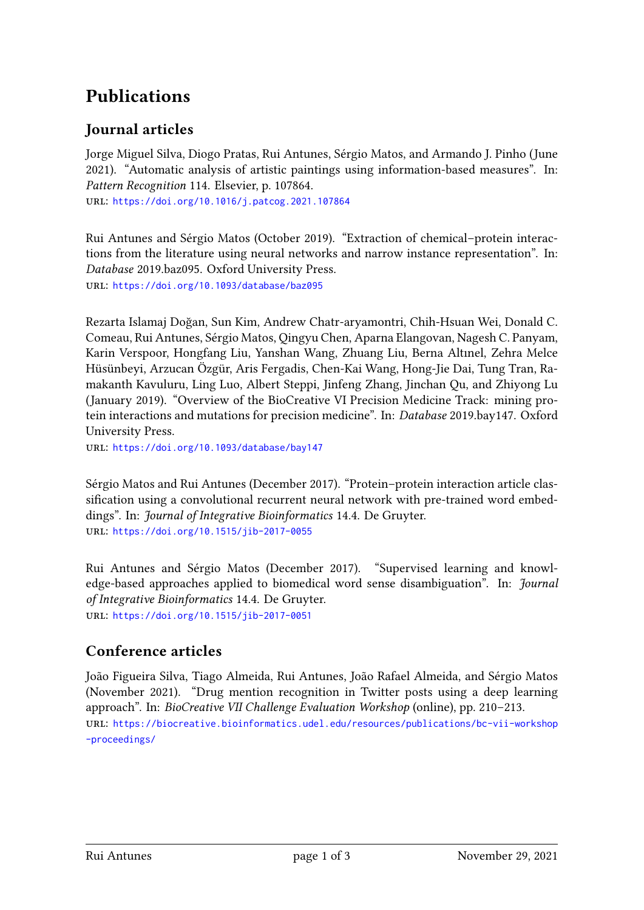## **Publications**

## **Journal articles**

Jorge Miguel Silva, Diogo Pratas, Rui Antunes, Sérgio Matos, and Armando J. Pinho (June 2021). "Automatic analysis of artistic paintings using information-based measures". In: *Pattern Recognition* 114. Elsevier, p. 107864.

url: <https://doi.org/10.1016/j.patcog.2021.107864>

Rui Antunes and Sérgio Matos (October 2019). "Extraction of chemical–protein interactions from the literature using neural networks and narrow instance representation". In: *Database* 2019.baz095. Oxford University Press. url: <https://doi.org/10.1093/database/baz095>

Rezarta Islamaj Doğan, Sun Kim, Andrew Chatr-aryamontri, Chih-Hsuan Wei, Donald C. Comeau, Rui Antunes, Sérgio Matos, Qingyu Chen, Aparna Elangovan, Nagesh C. Panyam, Karin Verspoor, Hongfang Liu, Yanshan Wang, Zhuang Liu, Berna Altınel, Zehra Melce Hüsünbeyi, Arzucan Özgür, Aris Fergadis, Chen-Kai Wang, Hong-Jie Dai, Tung Tran, Ramakanth Kavuluru, Ling Luo, Albert Steppi, Jinfeng Zhang, Jinchan Qu, and Zhiyong Lu (January 2019). "Overview of the BioCreative VI Precision Medicine Track: mining protein interactions and mutations for precision medicine". In: *Database* 2019.bay147. Oxford University Press.

url: <https://doi.org/10.1093/database/bay147>

Sérgio Matos and Rui Antunes (December 2017). "Protein–protein interaction article classification using a convolutional recurrent neural network with pre-trained word embeddings". In: *Journal of Integrative Bioinformatics* 14.4. De Gruyter. url: <https://doi.org/10.1515/jib-2017-0055>

Rui Antunes and Sérgio Matos (December 2017). "Supervised learning and knowledge-based approaches applied to biomedical word sense disambiguation". In: *Journal of Integrative Bioinformatics* 14.4. De Gruyter. url: <https://doi.org/10.1515/jib-2017-0051>

## **Conference articles**

João Figueira Silva, Tiago Almeida, Rui Antunes, João Rafael Almeida, and Sérgio Matos (November 2021). "Drug mention recognition in Twitter posts using a deep learning approach". In: *BioCreative VII Challenge Evaluation Workshop* (online), pp. 210–213. url: [https://biocreative.bioinformatics.udel.edu/resources/publications/bc-vii-workshop](https://biocreative.bioinformatics.udel.edu/resources/publications/bc-vii-workshop-proceedings/) [-proceedings/](https://biocreative.bioinformatics.udel.edu/resources/publications/bc-vii-workshop-proceedings/)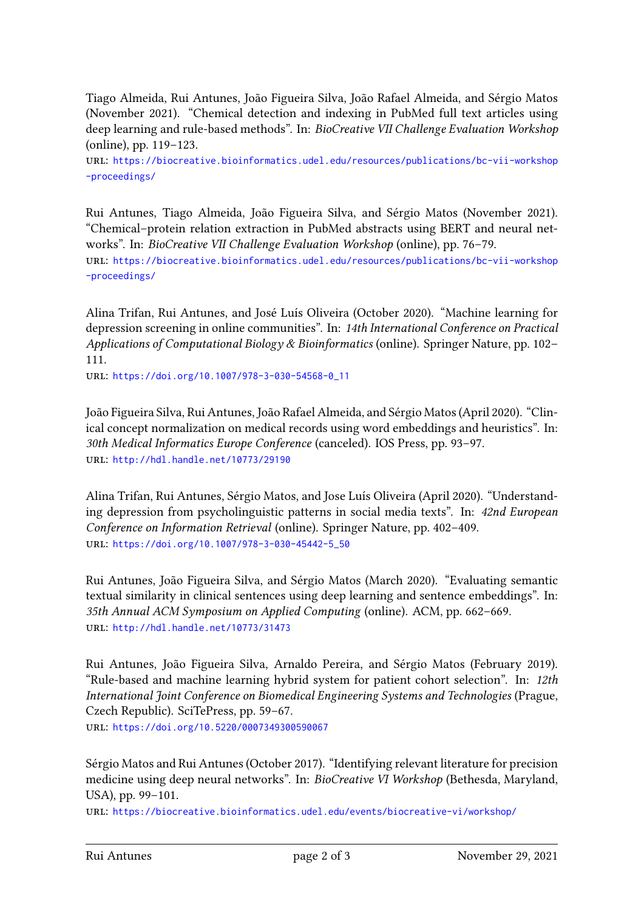Tiago Almeida, Rui Antunes, João Figueira Silva, João Rafael Almeida, and Sérgio Matos (November 2021). "Chemical detection and indexing in PubMed full text articles using deep learning and rule-based methods". In: *BioCreative VII Challenge Evaluation Workshop* (online), pp. 119–123.

url: [https://biocreative.bioinformatics.udel.edu/resources/publications/bc-vii-workshop](https://biocreative.bioinformatics.udel.edu/resources/publications/bc-vii-workshop-proceedings/) [-proceedings/](https://biocreative.bioinformatics.udel.edu/resources/publications/bc-vii-workshop-proceedings/)

Rui Antunes, Tiago Almeida, João Figueira Silva, and Sérgio Matos (November 2021). "Chemical–protein relation extraction in PubMed abstracts using BERT and neural networks". In: *BioCreative VII Challenge Evaluation Workshop* (online), pp. 76–79. url: [https://biocreative.bioinformatics.udel.edu/resources/publications/bc-vii-workshop](https://biocreative.bioinformatics.udel.edu/resources/publications/bc-vii-workshop-proceedings/) [-proceedings/](https://biocreative.bioinformatics.udel.edu/resources/publications/bc-vii-workshop-proceedings/)

Alina Trifan, Rui Antunes, and José Luís Oliveira (October 2020). "Machine learning for depression screening in online communities". In: *14th International Conference on Practical Applications of Computational Biology & Bioinformatics* (online). Springer Nature, pp. 102– 111.

url: [https://doi.org/10.1007/978-3-030-54568-0\\_11](https://doi.org/10.1007/978-3-030-54568-0_11)

João Figueira Silva, Rui Antunes, João Rafael Almeida, and Sérgio Matos (April 2020). "Clinical concept normalization on medical records using word embeddings and heuristics". In: *30th Medical Informatics Europe Conference* (canceled). IOS Press, pp. 93–97. url: <http://hdl.handle.net/10773/29190>

Alina Trifan, Rui Antunes, Sérgio Matos, and Jose Luís Oliveira (April 2020). "Understanding depression from psycholinguistic patterns in social media texts". In: *42nd European Conference on Information Retrieval* (online). Springer Nature, pp. 402–409. url: [https://doi.org/10.1007/978-3-030-45442-5\\_50](https://doi.org/10.1007/978-3-030-45442-5_50)

Rui Antunes, João Figueira Silva, and Sérgio Matos (March 2020). "Evaluating semantic textual similarity in clinical sentences using deep learning and sentence embeddings". In: *35th Annual ACM Symposium on Applied Computing* (online). ACM, pp. 662–669. url: <http://hdl.handle.net/10773/31473>

Rui Antunes, João Figueira Silva, Arnaldo Pereira, and Sérgio Matos (February 2019). "Rule-based and machine learning hybrid system for patient cohort selection". In: *12th International Joint Conference on Biomedical Engineering Systems and Technologies* (Prague, Czech Republic). SciTePress, pp. 59–67.

url: <https://doi.org/10.5220/0007349300590067>

Sérgio Matos and Rui Antunes (October 2017). "Identifying relevant literature for precision medicine using deep neural networks". In: *BioCreative VI Workshop* (Bethesda, Maryland, USA), pp. 99–101.

url: <https://biocreative.bioinformatics.udel.edu/events/biocreative-vi/workshop/>